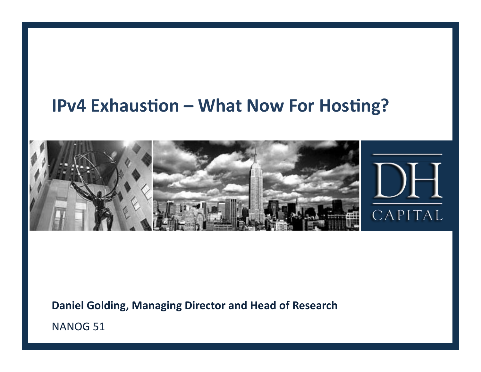#### **IPv4 Exhaustion - What Now For Hosting?**



Daniel Golding, Managing Director and Head of Research

NANOG 51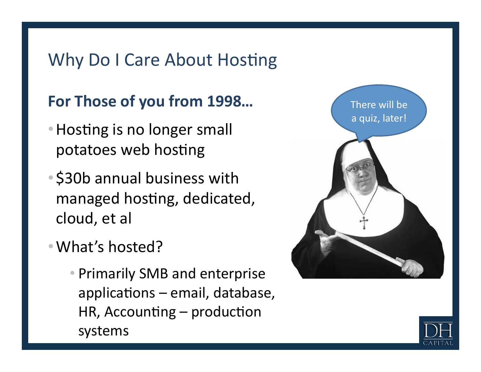## Why Do I Care About Hosting

### For Those of you from 1998...

- Hosting is no longer small potatoes web hosting
- \$30b annual business with managed hosting, dedicated, cloud, et al
- What's hosted?
	- Primarily SMB and enterprise applications – email, database, HR, Accounting – production systems



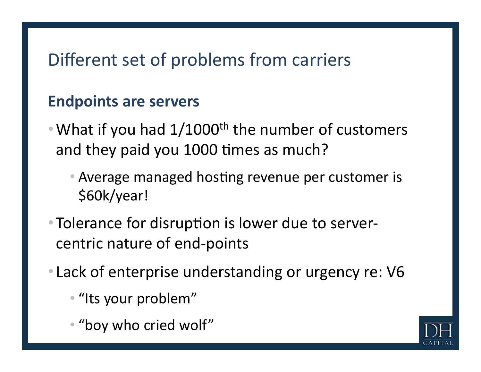## Different set of problems from carriers

#### **Endpoints are servers**

- What if you had  $1/1000$ <sup>th</sup> the number of customers and they paid you 1000 times as much?
	- Average managed hosting revenue per customer is \$60k/year!%
- Tolerance for disruption is lower due to servercentric nature of end-points
- Lack of enterprise understanding or urgency re: V6
	- "Its your problem"
	- "boy who cried wolf"

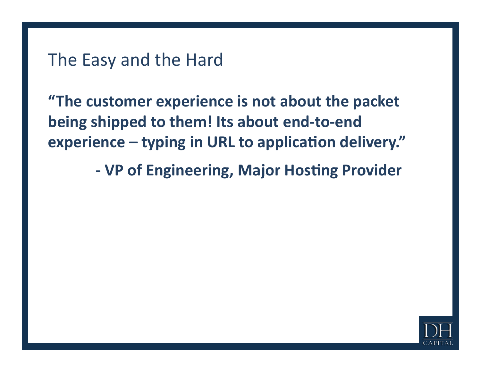**"The customer experience is not about the packet** being shipped to them! Its about end-to-end experience – typing in URL to application delivery."

**- VP of Engineering, Major Hosting Provider** 

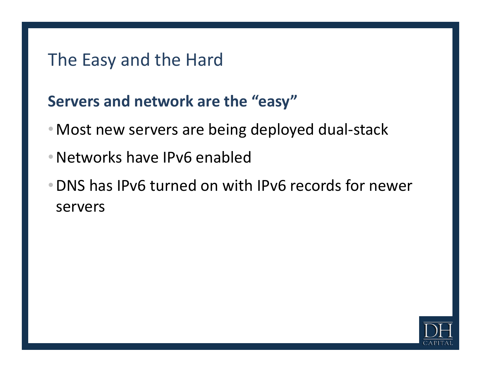#### **Servers and network are the "easy"**

- Most new servers are being deployed dual-stack
- Networks have IPv6 enabled
- DNS has IPv6 turned on with IPv6 records for newer servers

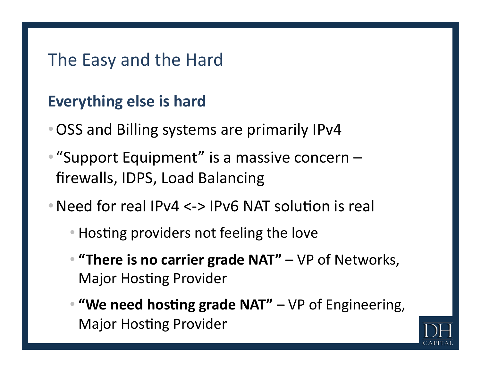#### **Everything else is hard**

- OSS and Billing systems are primarily IPv4
- "Support Equipment" is a massive concern firewalls, IDPS, Load Balancing
- Need for real IPv4  $\lt$ -> IPv6 NAT solution is real
	- Hosting providers not feeling the love
	- **"There is no carrier grade NAT"** VP of Networks, Major Hosting Provider
	- "We need hosting grade NAT" VP of Engineering, Major Hosting Provider

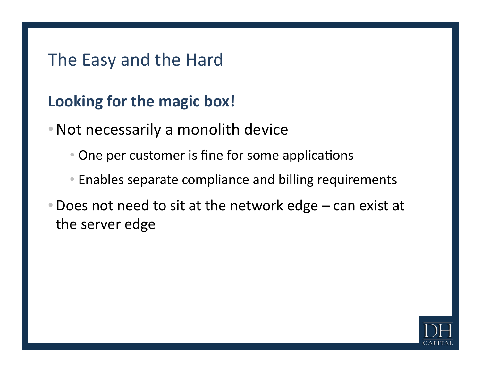#### **Looking for the magic box!**

- Not necessarily a monolith device
	- One per customer is fine for some applications
	- Enables separate compliance and billing requirements
- Does not need to sit at the network edge can exist at the server edge

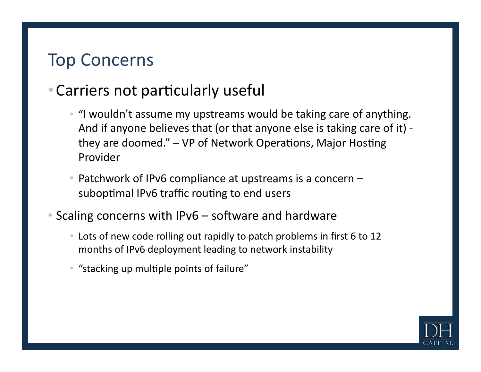### **Top Concerns**

### • Carriers not particularly useful

- "I wouldn't assume my upstreams would be taking care of anything. And if anyone believes that (or that anyone else is taking care of it) they are doomed." – VP of Network Operations, Major Hosting Provider
- Patchwork of IPv6 compliance at upstreams is a concern  $$ suboptimal IPv6 traffic routing to end users
- Scaling concerns with IPv6 software and hardware
	- Lots of new code rolling out rapidly to patch problems in first 6 to 12 months of IPv6 deployment leading to network instability
	- "stacking up multiple points of failure"

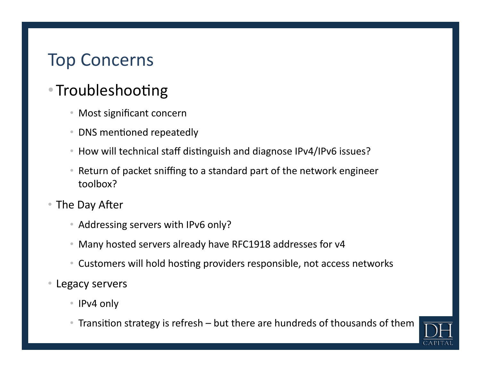## **Top Concerns**

### • Troubleshooting

- Most significant concern
- DNS mentioned repeatedly
- How will technical staff distinguish and diagnose IPv4/IPv6 issues?
- Return of packet sniffing to a standard part of the network engineer toolbox?
- The Day After
	- Addressing servers with IPv6 only?
	- Many hosted servers already have RFC1918 addresses for v4
	- Customers will hold hosting providers responsible, not access networks
- Legacy servers
	- IPv4 only
	- Transition strategy is refresh but there are hundreds of thousands of them

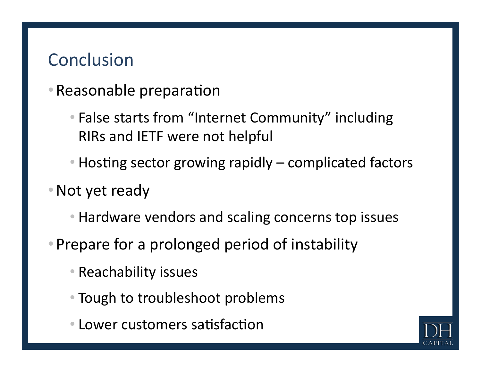## **Conclusion**

- Reasonable preparation
	- False starts from "Internet Community" including RIRs and IETF were not helpful
	- Hosting sector growing rapidly complicated factors
- Not yet ready
	- Hardware vendors and scaling concerns top issues
- Prepare for a prolonged period of instability
	- Reachability issues
	- Tough to troubleshoot problems
	- Lower customers satisfaction